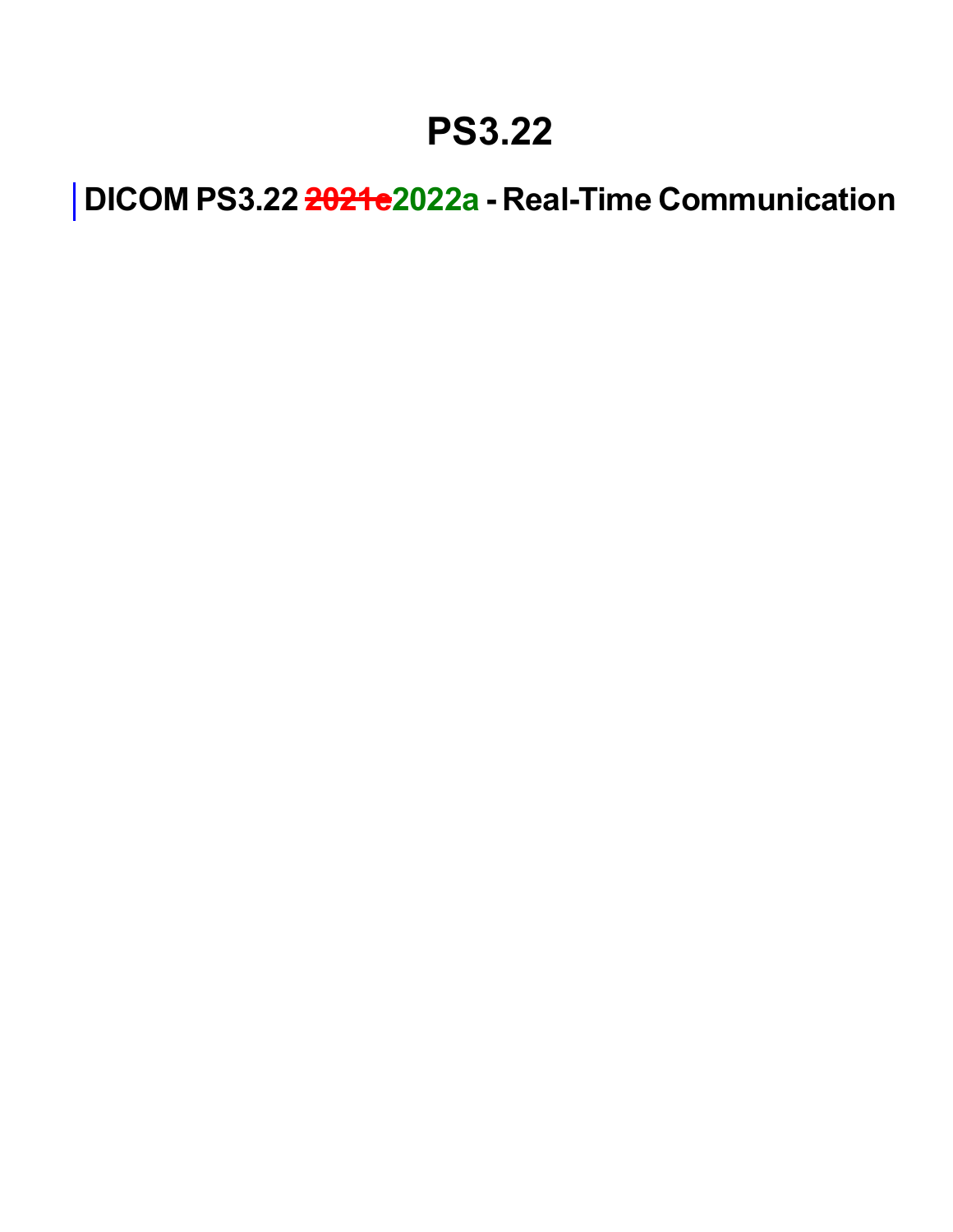### **PS3.22**

**DICOM PS3.22 2021e2022a - Real-Time Communication**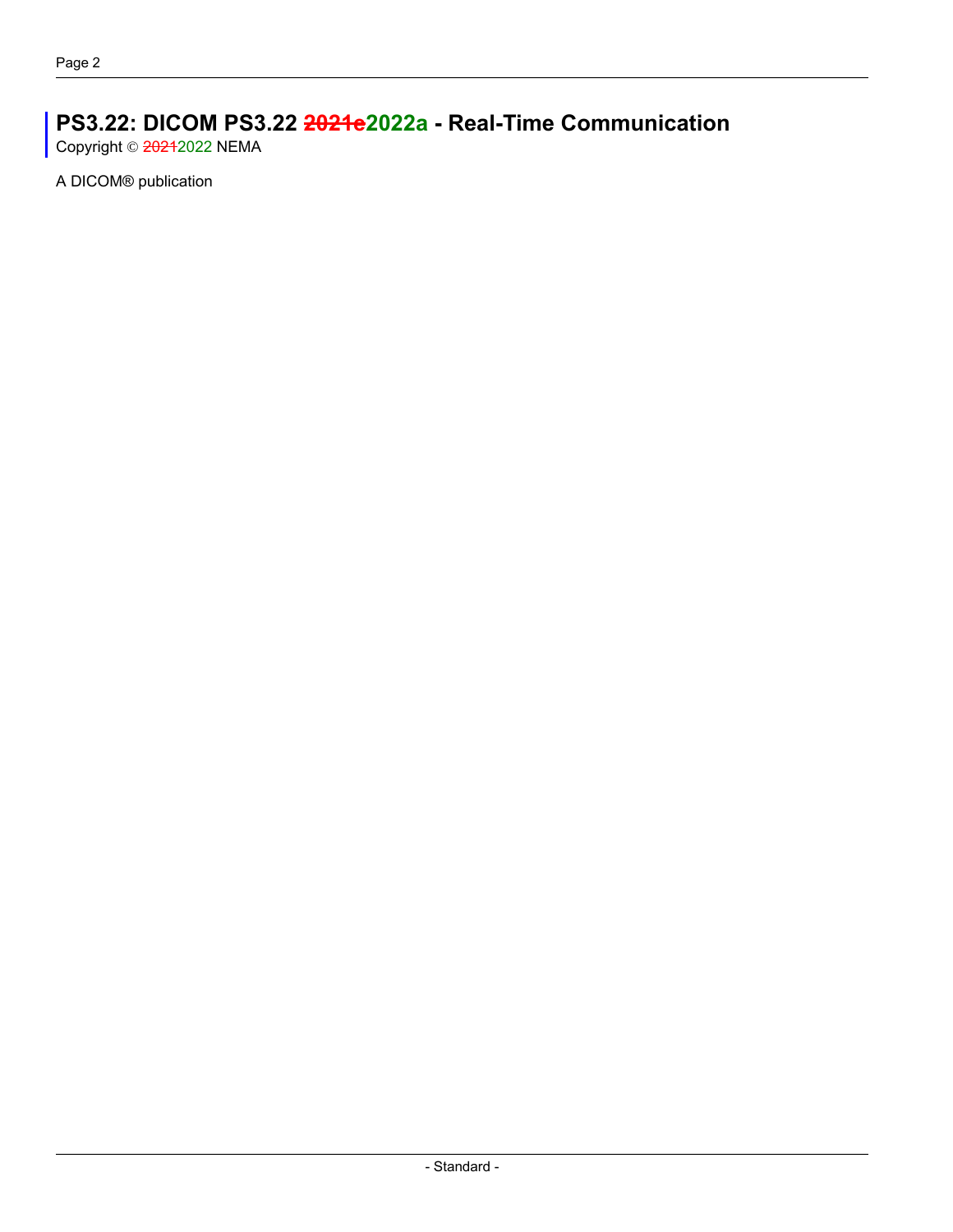#### **PS3.22: DICOM PS3.22 2021e2022a - Real-Time Communication**

Copyright © 20212022 NEMA

A DICOM® publication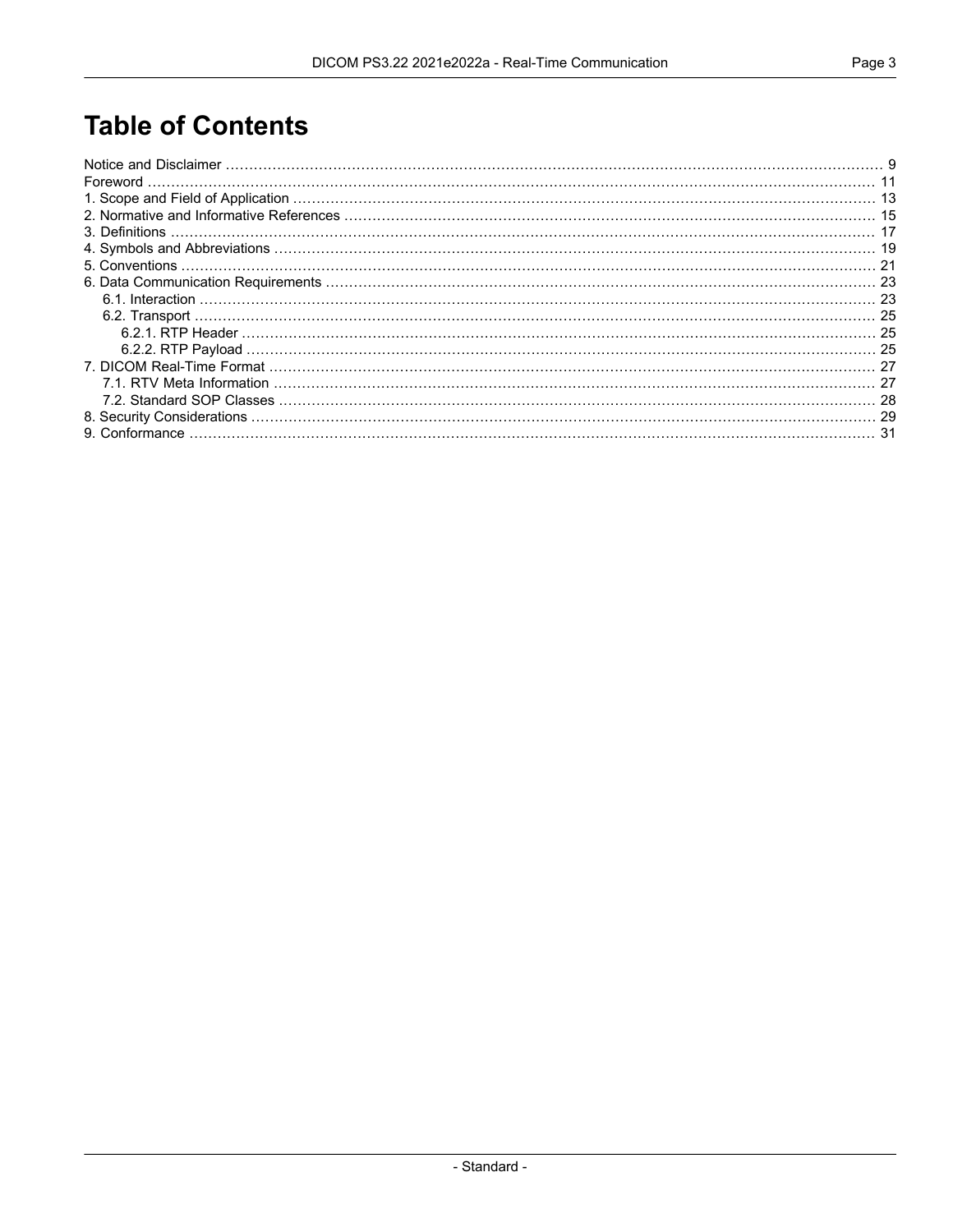#### **Table of Contents**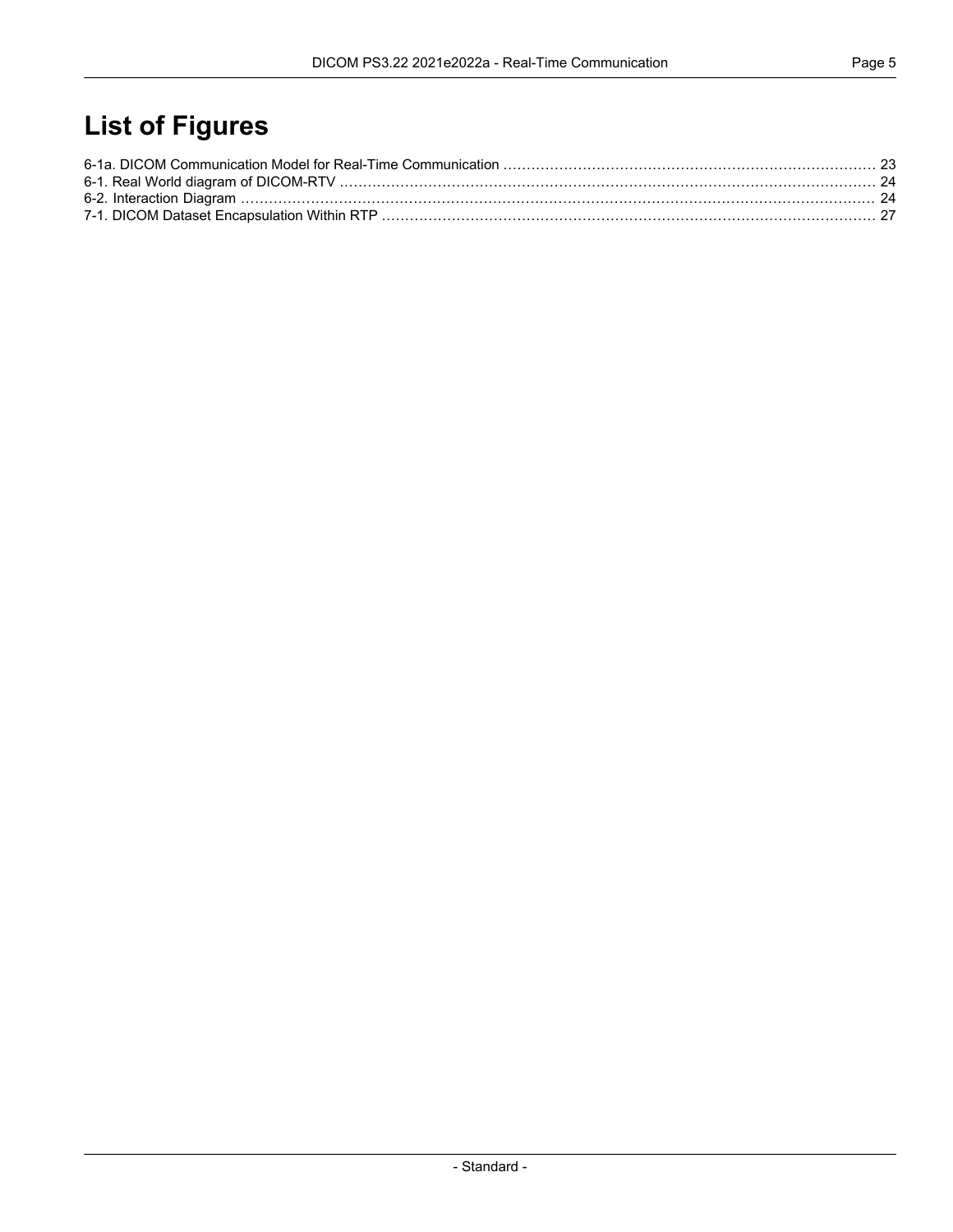### **List of Figures**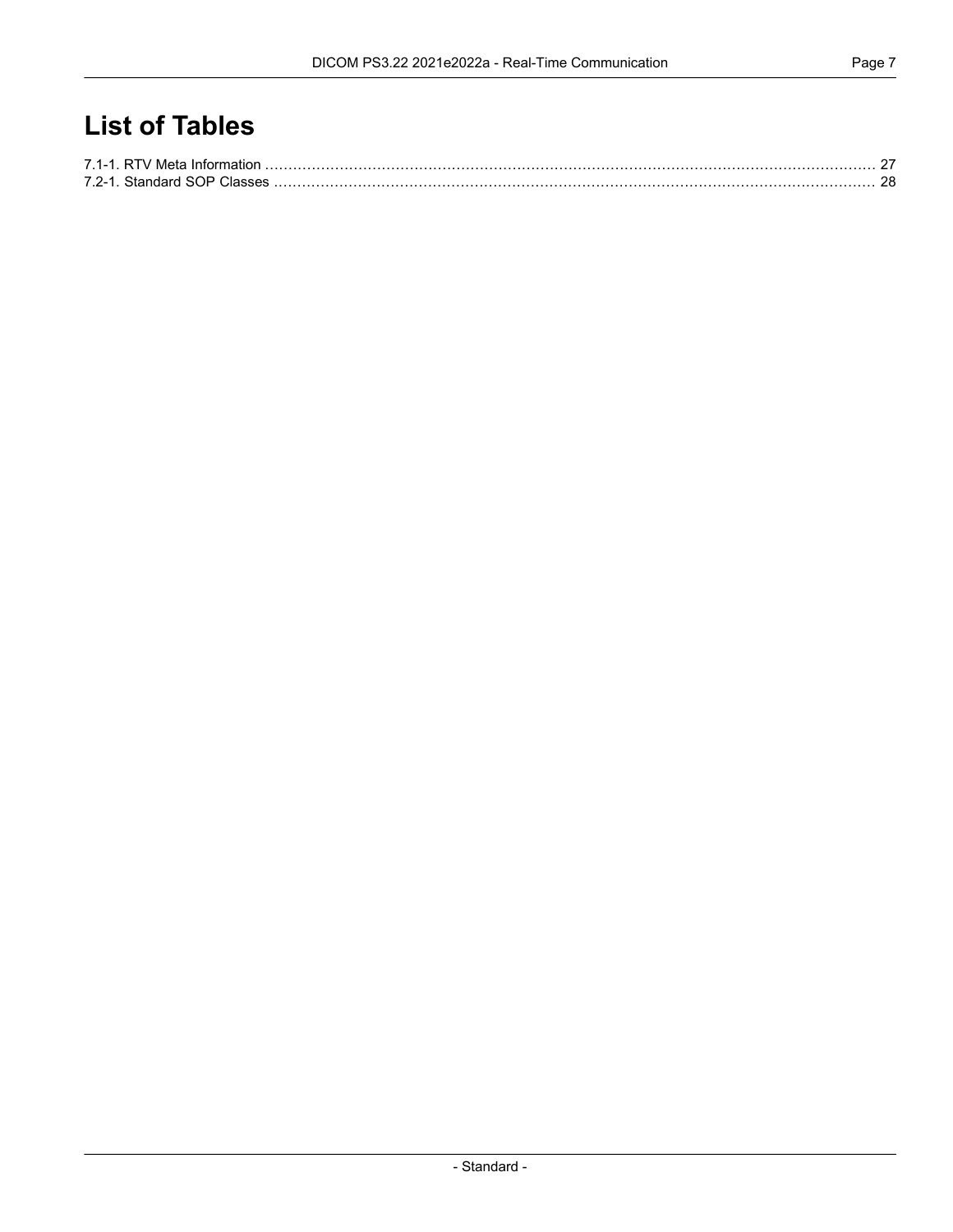#### **List of Tables**

| 7.2-1. Standard SOP Classes |  |
|-----------------------------|--|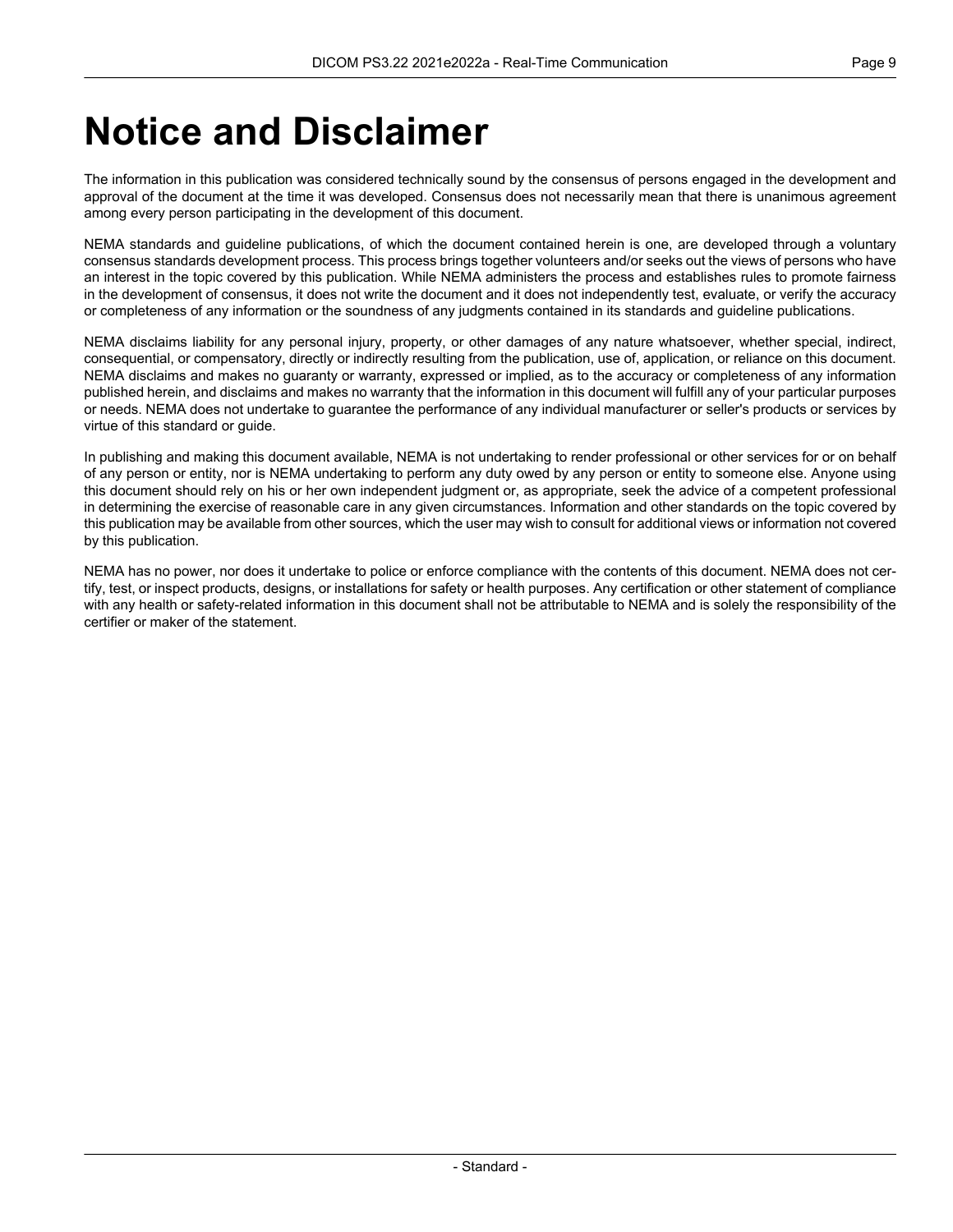### <span id="page-8-0"></span>**Notice and Disclaimer**

The information in this publication was considered technically sound by the consensus of persons engaged in the development and approval of the document at the time it was developed. Consensus does not necessarily mean that there is unanimous agreement among every person participating in the development of this document.

NEMA standards and guideline publications, of which the document contained herein is one, are developed through a voluntary consensus standards development process. This process brings together volunteers and/or seeks out the views of persons who have an interest in the topic covered by this publication. While NEMA administers the process and establishes rules to promote fairness in the development of consensus, it does not write the document and it does not independently test, evaluate, or verify the accuracy or completeness of any information or the soundness of any judgments contained in its standards and guideline publications.

NEMA disclaims liability for any personal injury, property, or other damages of any nature whatsoever, whether special, indirect, consequential, or compensatory, directly or indirectly resulting from the publication, use of, application, or reliance on this document. NEMA disclaims and makes no guaranty or warranty, expressed or implied, as to the accuracy or completeness of any information published herein, and disclaims and makes no warranty that the information in this document will fulfill any of your particular purposes or needs. NEMA does not undertake to guarantee the performance of any individual manufacturer or seller's products or services by virtue of this standard or guide.

In publishing and making this document available, NEMA is not undertaking to render professional or other services for or on behalf of any person or entity, nor is NEMA undertaking to perform any duty owed by any person or entity to someone else. Anyone using this document should rely on his or her own independent judgment or, as appropriate, seek the advice of a competent professional in determining the exercise of reasonable care in any given circumstances. Information and other standards on the topic covered by this publication may be available from other sources, which the user may wish to consult for additional views or information not covered by this publication.

NEMA has no power, nor does it undertake to police or enforce compliance with the contents of this document. NEMA does not cer tify, test, or inspect products, designs, or installations for safety or health purposes. Any certification or other statement of compliance with any health or safety-related information in this document shall not be attributable to NEMA and is solely the responsibility of the certifier or maker of the statement.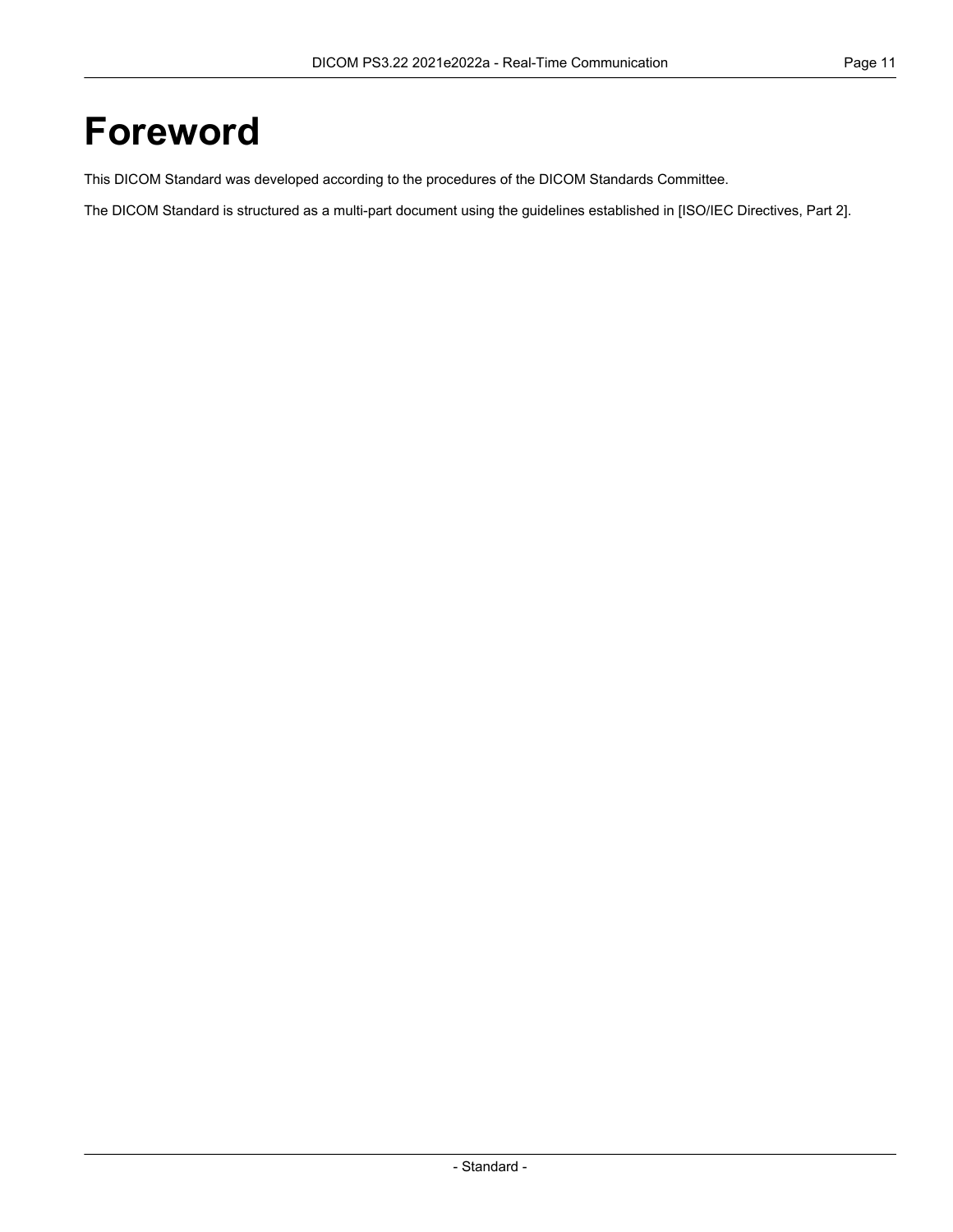### <span id="page-10-0"></span>**Foreword**

This DICOM Standard was developed according to the procedures of the DICOM Standards Committee.

The DICOM Standard is structured as a multi-part document using the guidelines established in [ISO/IEC [Directives,](#page-14-1) Part 2].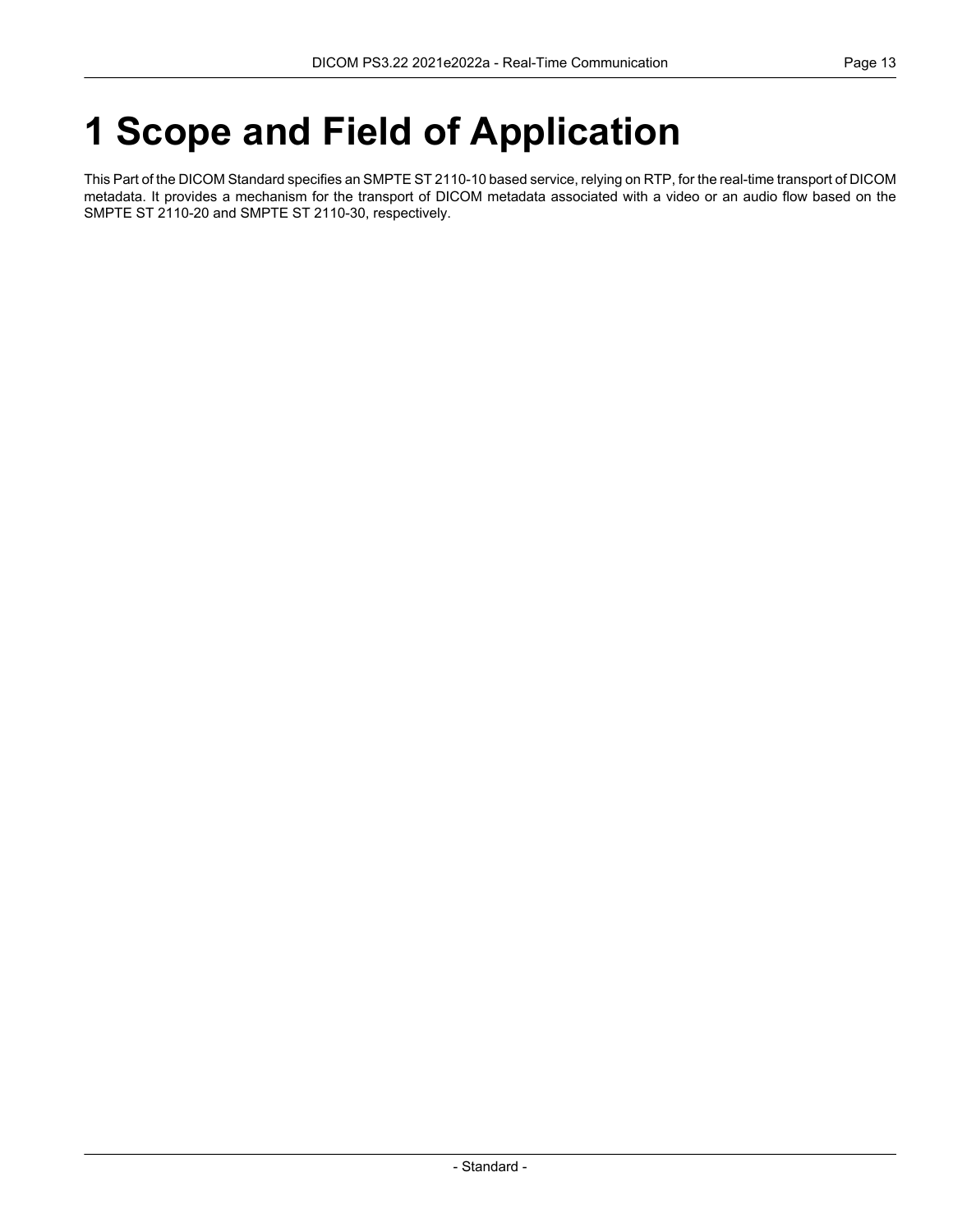# <span id="page-12-0"></span>**1 Scope and Field of Application**

This Part of the DICOM Standard specifies an SMPTE ST 2110-10 based service, relying on RTP, for the real-time transport of DICOM metadata. It provides a mechanism for the transport of DICOM metadata associated with a video or an audio flow based on the SMPTE ST 2110-20 and SMPTE ST 2110-30, respectively.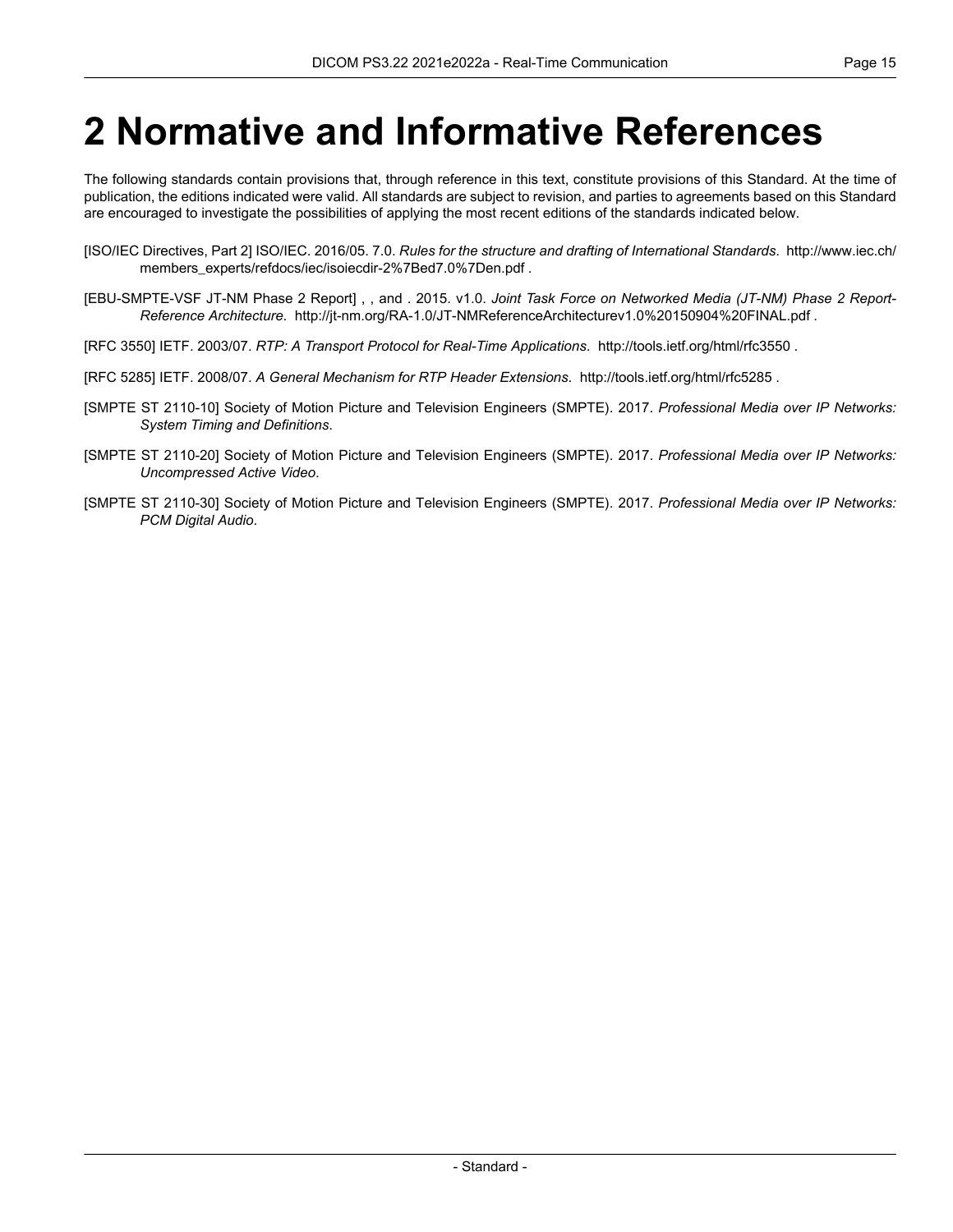## <span id="page-14-0"></span>**2 Normative and Informative References**

The following standards contain provisions that, through reference in this text, constitute provisions of this Standard. At the time of publication, the editions indicated were valid. All standards are subject to revision, and parties to agreements based on this Standard are encouraged to investigate the possibilities of applying the most recent editions of the standards indicated below.

- <span id="page-14-2"></span><span id="page-14-1"></span>[ISO/IEC Directives, Part 2] ISO/IEC. 2016/05. 7.0. *Rules for the structure and drafting of International Standards*. [http://www.iec.ch/](http://www.iec.ch/members_experts/refdocs/iec/isoiecdir-2%7Bed7.0%7Den.pdf) [members\\_experts/refdocs/iec/isoiecdir-2%7Bed7.0%7Den.pdf](http://www.iec.ch/members_experts/refdocs/iec/isoiecdir-2%7Bed7.0%7Den.pdf) .
- [EBU-SMPTE-VSF JT-NM Phase 2 Report] , , and . 2015. v1.0. *Joint Task Force on Networked Media (JT-NM) Phase 2 Report- Reference Architecture*. <http://jt-nm.org/RA-1.0/JT-NMReferenceArchitecturev1.0%20150904%20FINAL.pdf> .
- <span id="page-14-6"></span>[RFC 3550] IETF. 2003/07. *RTP: A Transport Protocol for Real-Time Applications*. <http://tools.ietf.org/html/rfc3550> .
- <span id="page-14-3"></span>[RFC 5285] IETF. 2008/07. *A General Mechanism for RTP Header Extensions*. <http://tools.ietf.org/html/rfc5285> .
- <span id="page-14-4"></span>[SMPTE ST 2110-10] Society of Motion Picture and Television Engineers (SMPTE). 2017. *Professional Media over IP Networks: System Timing and Definitions*.
- <span id="page-14-5"></span>[SMPTE ST 2110-20] Society of Motion Picture and Television Engineers (SMPTE). 2017. *Professional Media over IP Networks: Uncompressed Active Video*.
- [SMPTE ST 2110-30] Society of Motion Picture and Television Engineers (SMPTE). 2017. *Professional Media over IP Networks: PCM Digital Audio*.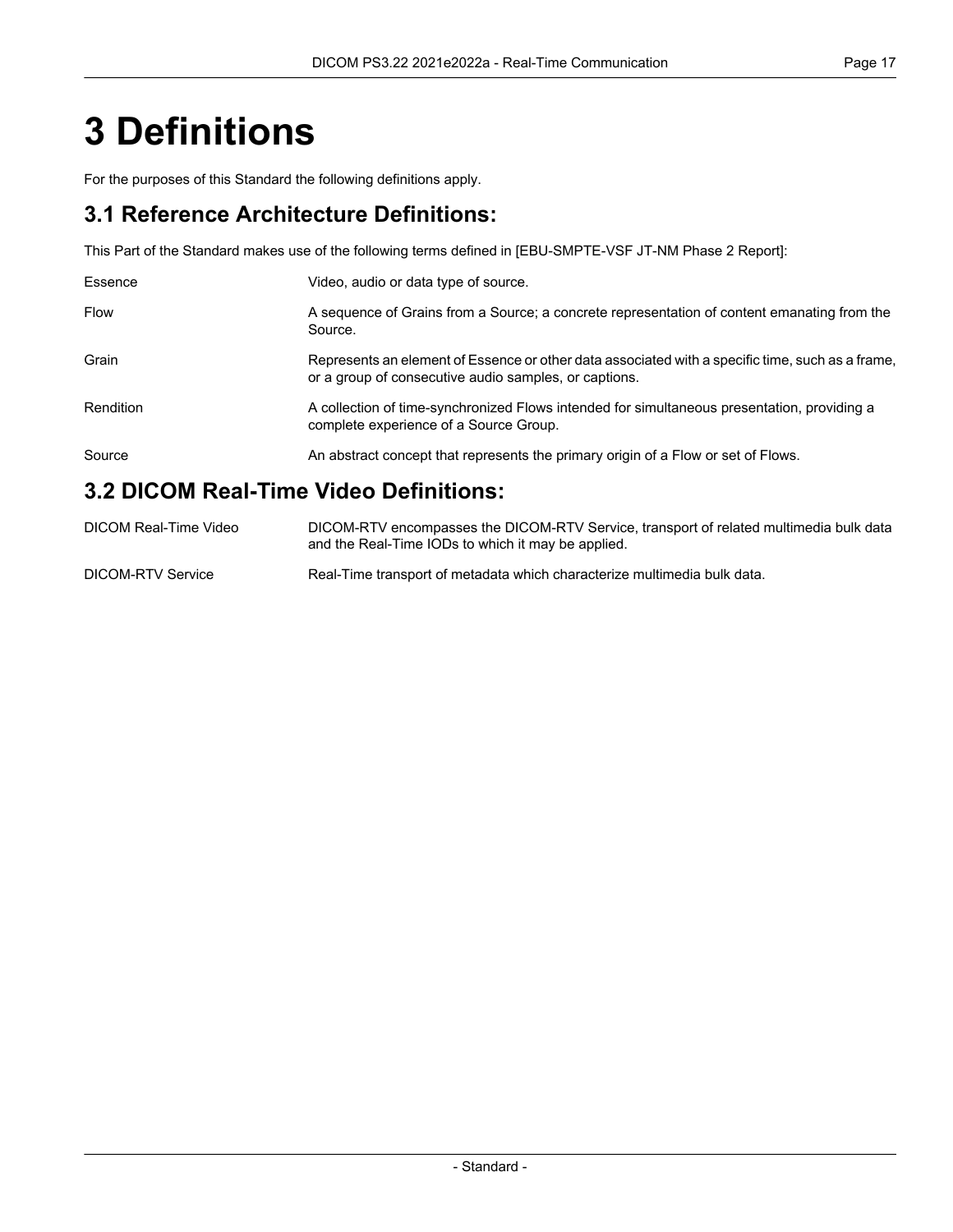# <span id="page-16-0"></span>**3 Definitions**

For the purposes of this Standard the following definitions apply.

#### **3.1 Reference Architecture Definitions:**

This Part of the Standard makes use of the following terms defined in [\[EBU-SMPTE-VSF](#page-14-2) JT-NM Phase 2 Report]:

| Essence     | Video, audio or data type of source.                                                                                                                      |
|-------------|-----------------------------------------------------------------------------------------------------------------------------------------------------------|
| <b>Flow</b> | A sequence of Grains from a Source; a concrete representation of content emanating from the<br>Source.                                                    |
| Grain       | Represents an element of Essence or other data associated with a specific time, such as a frame,<br>or a group of consecutive audio samples, or captions. |
| Rendition   | A collection of time-synchronized Flows intended for simultaneous presentation, providing a<br>complete experience of a Source Group.                     |
| Source      | An abstract concept that represents the primary origin of a Flow or set of Flows.                                                                         |
|             | 3.2 DICOM Real-Time Video Definitions:                                                                                                                    |

#### DICOM Real-Time Video DICOM-RTV encompasses the DICOM-RTV Service, transport of related multimedia bulk data and the Real-Time IODs to which it may be applied. DICOM-RTV Service Real-Time transport of metadata which characterize multimedia bulk data.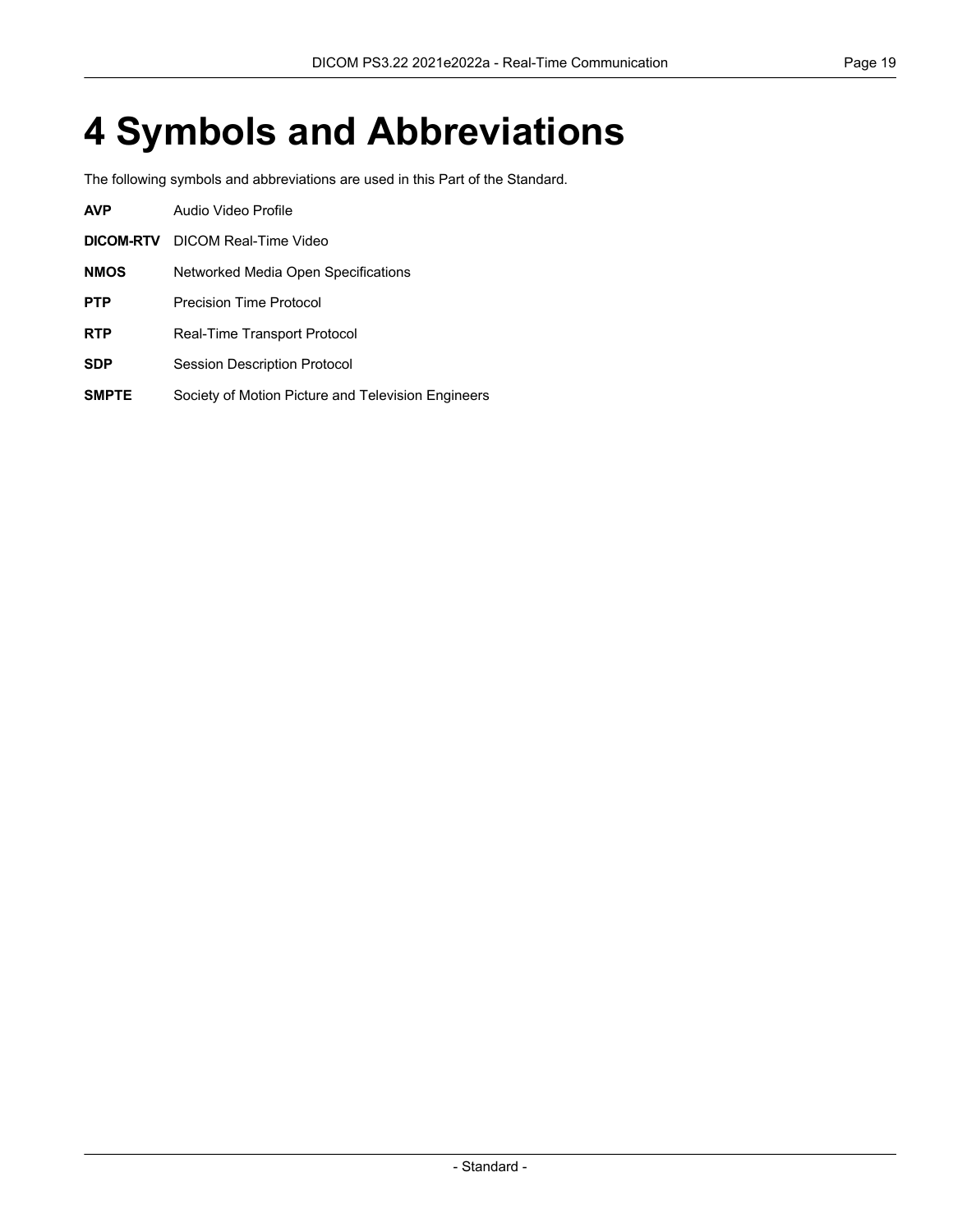# <span id="page-18-0"></span>**4 Symbols and Abbreviations**

The following symbols and abbreviations are used in this Part of the Standard.

| <b>AVP</b>   | Audio Video Profile                                |  |  |  |
|--------------|----------------------------------------------------|--|--|--|
| DICOM-RTV    | DICOM Real-Time Video                              |  |  |  |
| <b>NMOS</b>  | Networked Media Open Specifications                |  |  |  |
| <b>PTP</b>   | Precision Time Protocol                            |  |  |  |
| <b>RTP</b>   | Real-Time Transport Protocol                       |  |  |  |
| <b>SDP</b>   | <b>Session Description Protocol</b>                |  |  |  |
| <b>SMPTE</b> | Society of Motion Picture and Television Engineers |  |  |  |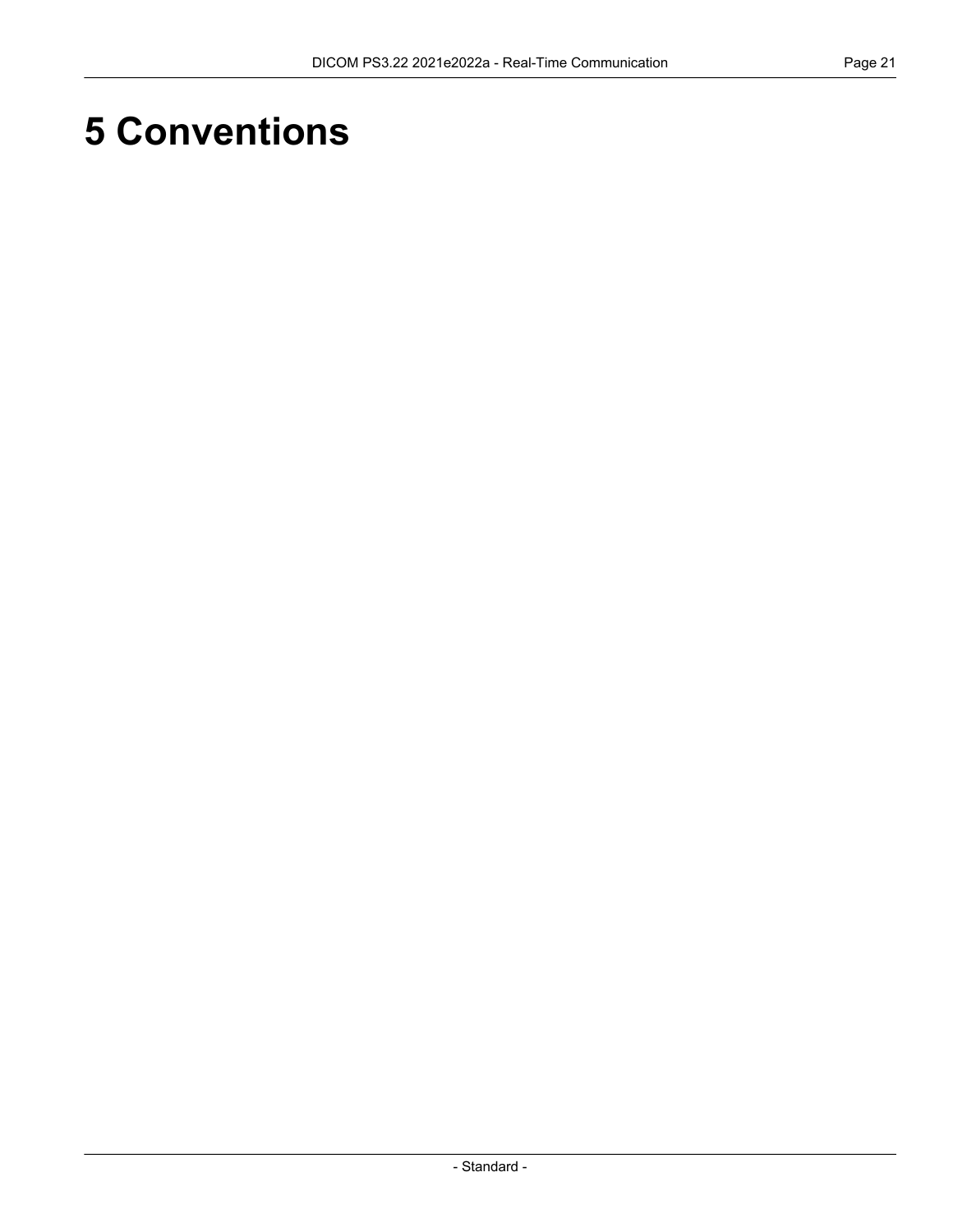# <span id="page-20-0"></span>**5 Conventions**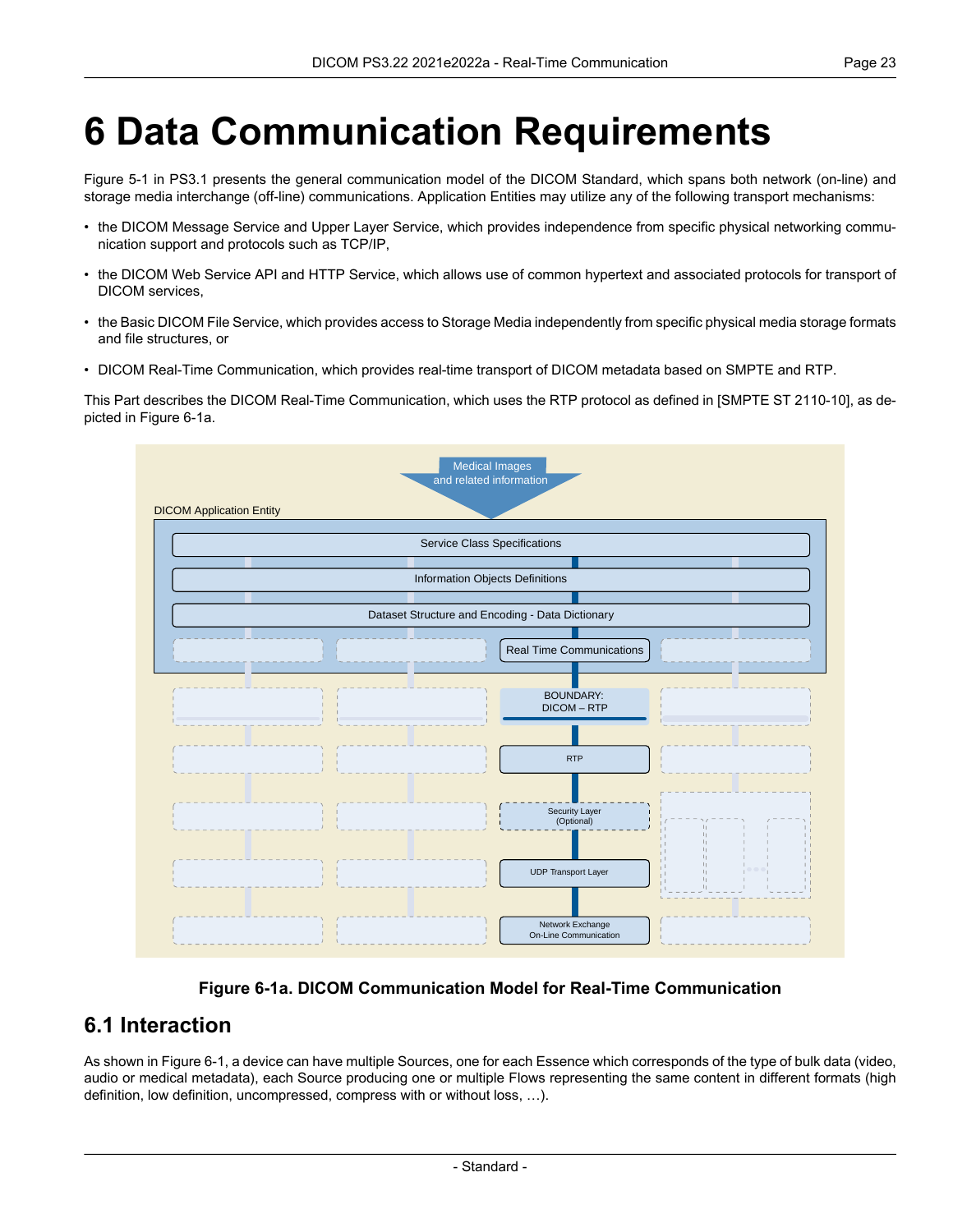# <span id="page-22-0"></span>**6 Data Communication Requirements**

[Figure](part01.pdf#figure_5-1) 5-1 in PS3.1 presents the general communication model of the DICOM Standard, which spans both network (on-line) and storage media interchange (off-line) communications. Application Entities may utilize any of the following transport mechanisms:

- the DICOM Message Service and Upper Layer Service, which provides independence from specific physical networking commu nication support and protocols such as TCP/IP,
- the DICOM Web Service API and HTTP Service, which allows use of common hypertext and associated protocols for transport of DICOM services,
- the Basic DICOM File Service, which provides access to Storage Media independently from specific physical media storage formats and file structures, or
- DICOM Real-Time Communication, which provides real-time transport of DICOM metadata based on SMPTE and RTP.

<span id="page-22-2"></span>This Part describes the DICOM Real-Time Communication, which uses the RTP protocol as defined in [SMPTE ST [2110-10\]](#page-14-3), as de picted in [Figure](#page-22-2) 6-1a.

|                                                  | <b>DICOM Application Entity</b> |                                     |                                 |           |  |  |  |
|--------------------------------------------------|---------------------------------|-------------------------------------|---------------------------------|-----------|--|--|--|
|                                                  |                                 | <b>Service Class Specifications</b> |                                 |           |  |  |  |
|                                                  |                                 | Information Objects Definitions     |                                 |           |  |  |  |
|                                                  |                                 |                                     |                                 |           |  |  |  |
| Dataset Structure and Encoding - Data Dictionary |                                 |                                     |                                 |           |  |  |  |
|                                                  |                                 |                                     | <b>Real Time Communications</b> |           |  |  |  |
|                                                  |                                 |                                     | <b>BOUNDARY:</b><br>DICOM-RTP   |           |  |  |  |
|                                                  |                                 |                                     | <b>RTP</b>                      |           |  |  |  |
|                                                  |                                 |                                     | Security Layer<br>(Optional)    | Ч.        |  |  |  |
|                                                  |                                 |                                     | <b>UDP Transport Layer</b>      | i L<br>Η. |  |  |  |

**Figure 6-1a. DICOM Communication Model for Real-Time Communication**

#### <span id="page-22-1"></span>**6.1 Interaction**

As shown in [Figure](#page-23-0) 6-1, a device can have multiple Sources, one for each Essence which corresponds of the type of bulk data (video, audio or medical metadata), each Source producing one or multiple Flows representing the same content in different formats (high definition, low definition, uncompressed, compress with or without loss, …).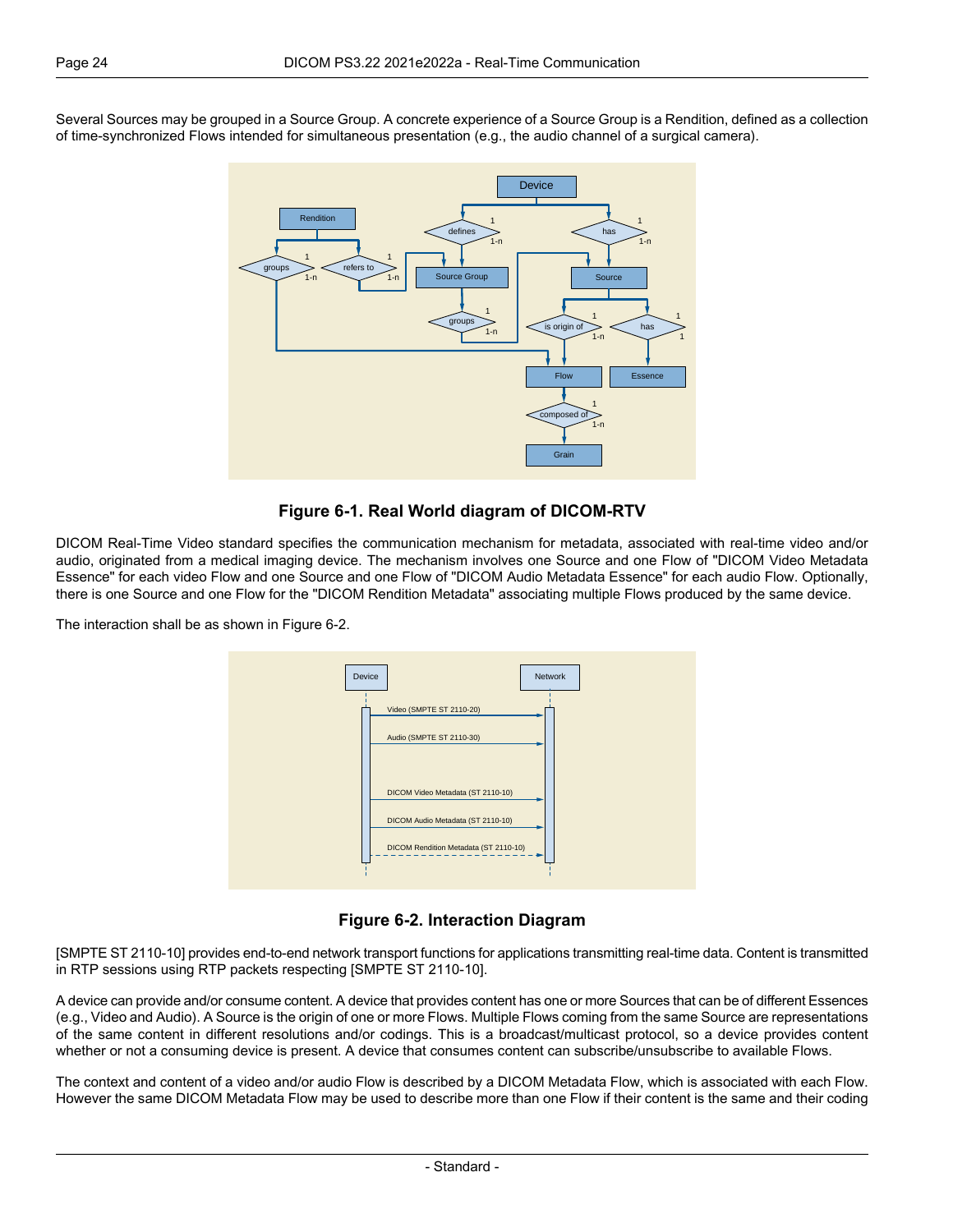<span id="page-23-0"></span>Several Sources may be grouped in a Source Group. A concrete experience of a Source Group is a Rendition, defined as a collection of time-synchronized Flows intended for simultaneous presentation (e.g., the audio channel of a surgical camera).



**Figure 6-1. Real World diagram of DICOM-RTV**

DICOM Real-Time Video standard specifies the communication mechanism for metadata, associated with real-time video and/or audio, originated from a medical imaging device. The mechanism involves one Source and one Flow of "DICOM Video Metadata Essence" for each video Flow and one Source and one Flow of "DICOM Audio Metadata Essence" for each audio Flow. Optionally, there is one Source and one Flow for the "DICOM Rendition Metadata" associating multiple Flows produced by the same device.

<span id="page-23-1"></span>The interaction shall be as shown in [Figure](#page-23-1) 6-2.



**Figure 6-2. Interaction Diagram**

[SMPTE ST [2110-10\]](#page-14-3) provides end-to-end network transport functions for applications transmitting real-time data. Content is transmitted in RTP sessions using RTP packets respecting [SMPTE ST [2110-10\].](#page-14-3)

A device can provide and/or consume content. A device that provides content has one or more Sources that can be of different Essences (e.g., Video and Audio). A Source is the origin of one or more Flows. Multiple Flows coming from the same Source are representations of the same content in different resolutions and/or codings. This is a broadcast/multicast protocol, so a device provides content whether or not a consuming device is present. A device that consumes content can subscribe/unsubscribe to available Flows.

The context and content of a video and/or audio Flow is described by a DICOM Metadata Flow, which is associated with each Flow. However the same DICOM Metadata Flow may be used to describe more than one Flow if their content is the same and their coding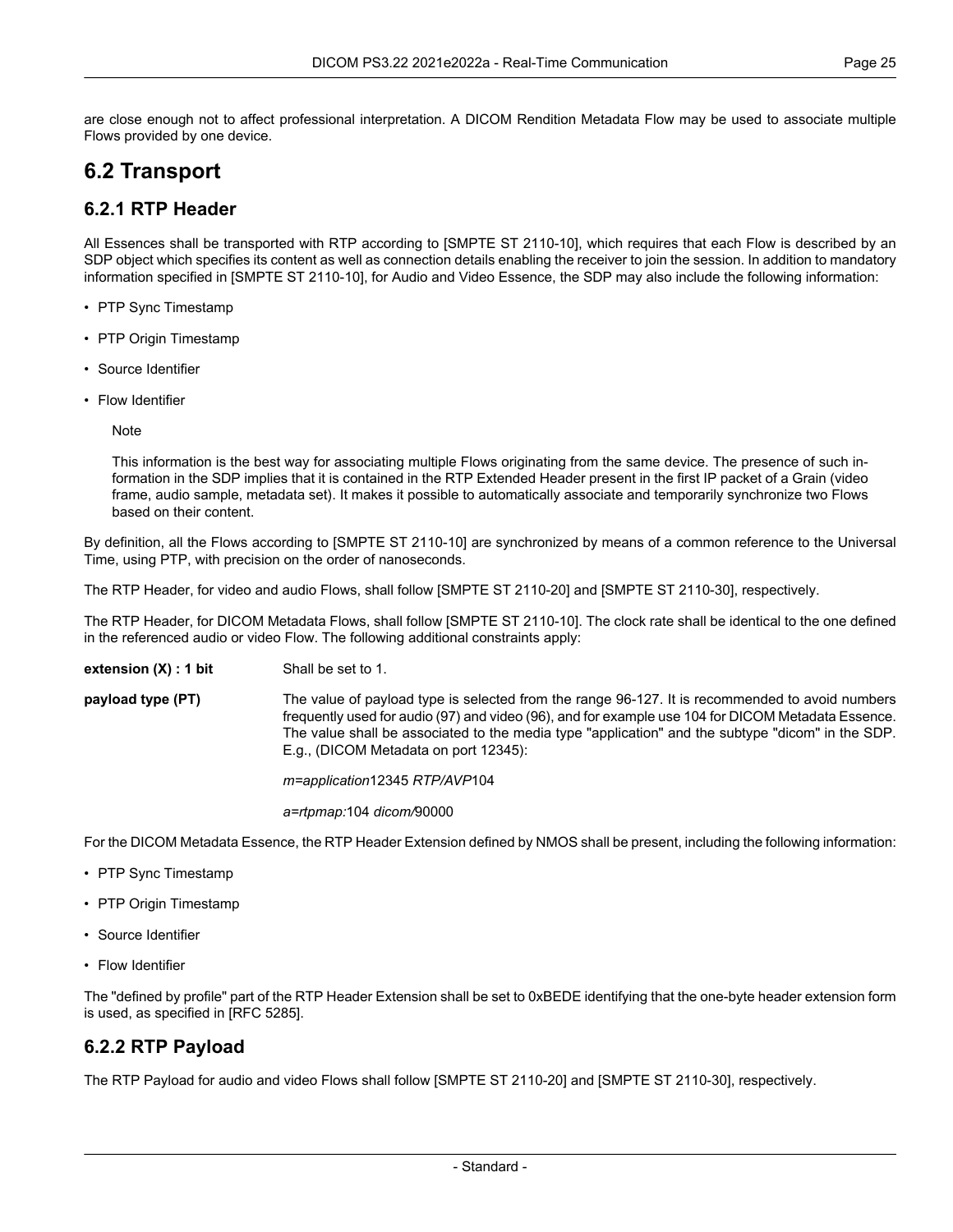#### <span id="page-24-1"></span><span id="page-24-0"></span>**6.2 Transport**

#### **6.2.1 RTP Header**

All Essences shall be transported with RTP according to [SMPTE ST [2110-10\],](#page-14-3) which requires that each Flow is described by an SDP object which specifies its content as well as connection details enabling the receiver to join the session. In addition to mandatory information specified in [SMPTE ST [2110-10\],](#page-14-3) for Audio and Video Essence, the SDP may also include the following information:

- PTP Sync Timestamp
- PTP Origin Timestamp
- Source Identifier
- Flow Identifier

Note

This information is the best way for associating multiple Flows originating from the same device. The presence of such in formation in the SDP implies that it is contained in the RTP Extended Header present in the first IP packet of a Grain (video frame, audio sample, metadata set). It makes it possible to automatically associate and temporarily synchronize two Flows based on their content.

By definition, all the Flows according to [SMPTE ST [2110-10\]](#page-14-3) are synchronized by means of a common reference to the Universal Time, using PTP, with precision on the order of nanoseconds.

The RTP Header, for video and audio Flows, shall follow [SMPTE ST [2110-20\]](#page-14-4) and [SMPTE ST [2110-30\],](#page-14-5) respectively.

The RTP Header, for DICOM Metadata Flows, shall follow [SMPTE ST [2110-10\].](#page-14-3) The clock rate shall be identical to the one defined in the referenced audio or video Flow. The following additional constraints apply:

**extension (X) : 1 bit** Shall be set to 1.

**payload type (PT)** The value of payload type is selected from the range 96-127. It is recommended to avoid numbers frequently used for audio (97) and video (96), and for example use 104 for DICOM Metadata Essence. The value shall be associated to the media type "application" and the subtype "dicom" in the SDP. E.g., (DICOM Metadata on port 12345):

*m=application*12345 *RTP/AVP*104

*a=rtpmap:*104 *dicom/*90000

For the DICOM Metadata Essence, the RTP Header Extension defined by NMOS shall be present, including the following information:

- PTP Sync Timestamp
- PTP Origin Timestamp
- <span id="page-24-2"></span>• Source Identifier
- Flow Identifier

The "defined by profile" part of the RTP Header Extension shall be set to 0xBEDE identifying that the one-byte header extension form is used, as specified in [RFC [5285\].](#page-14-6)

#### **6.2.2 RTP Payload**

The RTP Payload for audio and video Flows shall follow [SMPTE ST [2110-20\]](#page-14-4) and [SMPTE ST [2110-30\],](#page-14-5) respectively.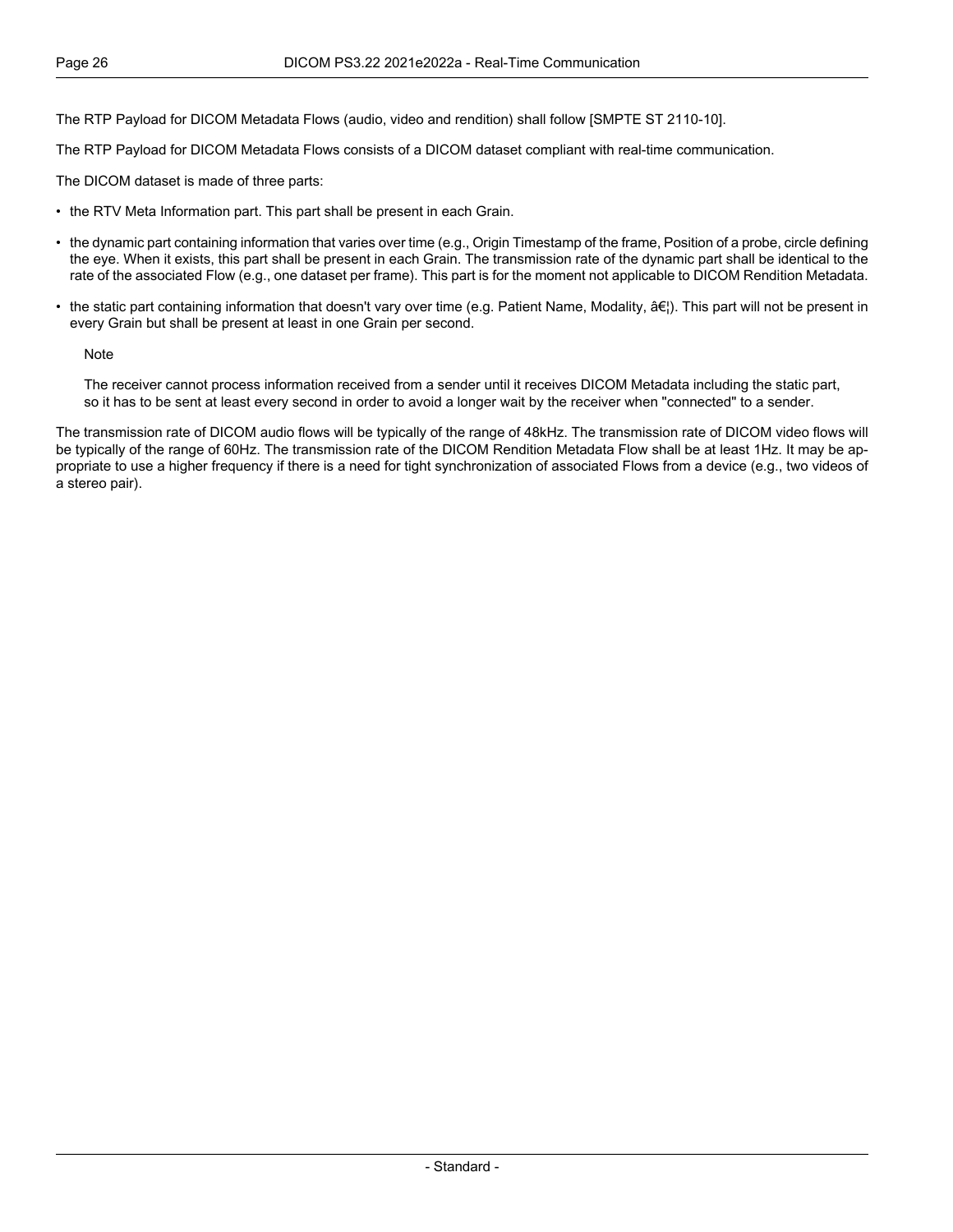The RTP Payload for DICOM Metadata Flows (audio, video and rendition) shall follow [SMPTE ST [2110-10\]](#page-14-3).

The RTP Payload for DICOM Metadata Flows consists of a DICOM dataset compliant with real-time communication.

The DICOM dataset is made of three parts:

- the RTV Meta Information part. This part shall be present in each Grain.
- the dynamic part containing information that varies over time (e.g., Origin Timestamp of the frame, Position of a probe, circle defining the eye. When it exists, this part shall be present in each Grain. The transmission rate of the dynamic part shall be identical to the rate of the associated Flow (e.g., one dataset per frame). This part is for the moment not applicable to DICOM Rendition Metadata.
- the static part containing information that doesn't vary over time (e.g. Patient Name, Modality,  $\hat{a}\epsilon$ ). This part will not be present in every Grain but shall be present at least in one Grain per second.

**Note** 

The receiver cannot process information received from a sender until it receives DICOM Metadata including the static part, so it has to be sent at least every second in order to avoid a longer wait by the receiver when "connected" to a sender.

The transmission rate of DICOM audio flows will be typically of the range of 48kHz. The transmission rate of DICOM video flows will be typically of the range of 60Hz. The transmission rate of the DICOM Rendition Metadata Flow shall be at least 1Hz. It may be ap propriate to use a higher frequency if there is a need for tight synchronization of associated Flows from a device (e.g., two videos of a stereo pair).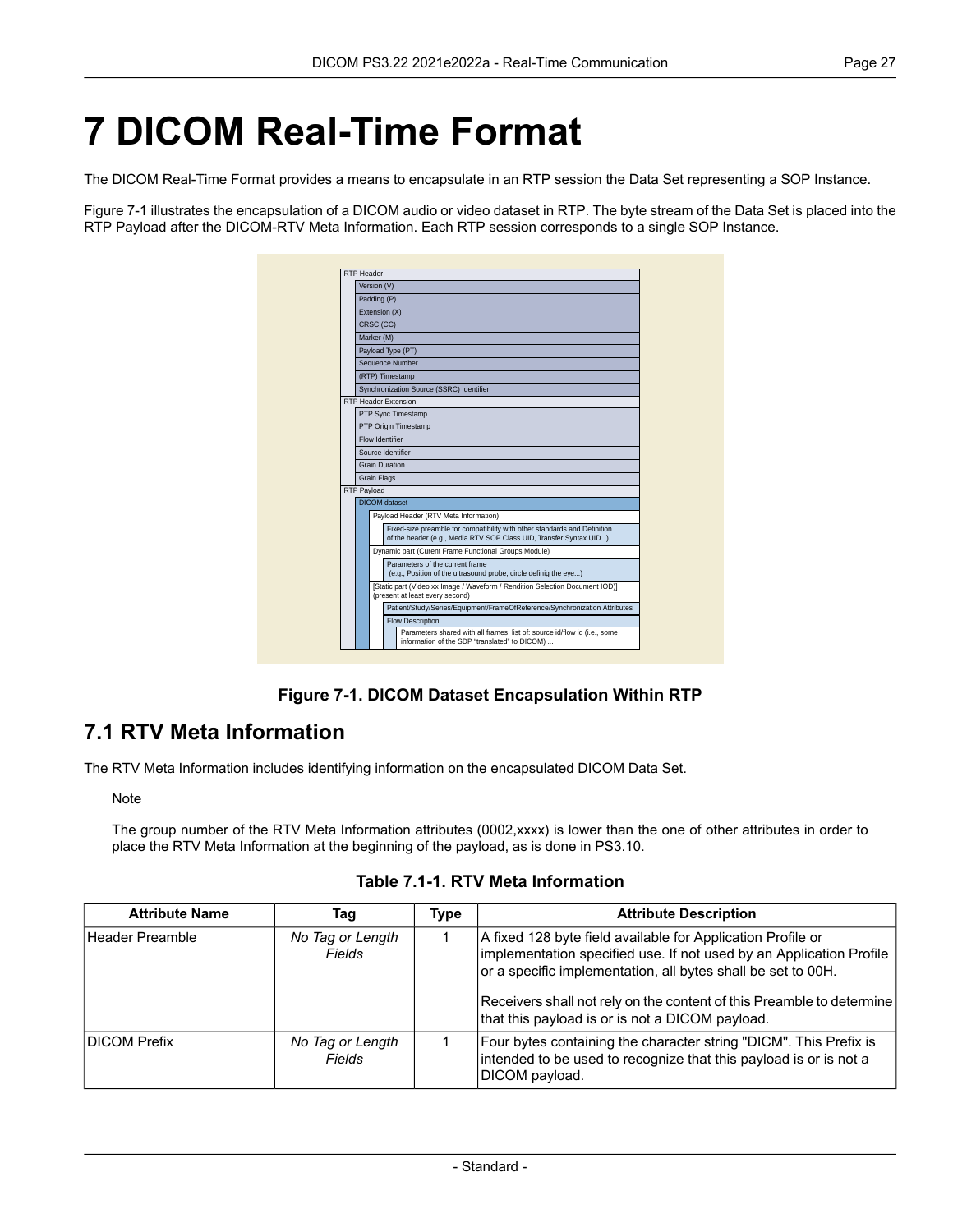## <span id="page-26-0"></span>**7 DICOM Real-Time Format**

The DICOM Real-Time Format provides a means to encapsulate in an RTP session the Data Set representing a SOP Instance.

<span id="page-26-2"></span>[Figure](#page-26-2) 7-1 illustrates the encapsulation of a DICOM audio or video dataset in RTP. The byte stream of the Data Set is placed into the RTP Payload after the DICOM-RTV Meta Information. Each RTP session corresponds to a single SOP Instance.

| RTP Header    |                       |                                                      |                                                                                                                                                 |  |  |  |  |
|---------------|-----------------------|------------------------------------------------------|-------------------------------------------------------------------------------------------------------------------------------------------------|--|--|--|--|
|               | Version (V)           |                                                      |                                                                                                                                                 |  |  |  |  |
|               |                       | Padding (P)                                          |                                                                                                                                                 |  |  |  |  |
|               |                       | Extension (X)                                        |                                                                                                                                                 |  |  |  |  |
|               |                       | CRSC (CC)                                            |                                                                                                                                                 |  |  |  |  |
|               | Marker (M)            |                                                      |                                                                                                                                                 |  |  |  |  |
|               |                       |                                                      | Payload Type (PT)                                                                                                                               |  |  |  |  |
|               |                       |                                                      | Sequence Number                                                                                                                                 |  |  |  |  |
|               |                       |                                                      | (RTP) Timestamp                                                                                                                                 |  |  |  |  |
|               |                       |                                                      | Synchronization Source (SSRC) Identifier                                                                                                        |  |  |  |  |
|               |                       |                                                      | RTP Header Extension                                                                                                                            |  |  |  |  |
|               |                       |                                                      | PTP Sync Timestamp                                                                                                                              |  |  |  |  |
|               |                       |                                                      | PTP Origin Timestamp                                                                                                                            |  |  |  |  |
|               | Flow Identifier       |                                                      |                                                                                                                                                 |  |  |  |  |
|               | Source Identifier     |                                                      |                                                                                                                                                 |  |  |  |  |
|               | <b>Grain Duration</b> |                                                      |                                                                                                                                                 |  |  |  |  |
|               | <b>Grain Flags</b>    |                                                      |                                                                                                                                                 |  |  |  |  |
| RTP Payload   |                       |                                                      |                                                                                                                                                 |  |  |  |  |
| DICOM dataset |                       |                                                      |                                                                                                                                                 |  |  |  |  |
|               |                       | Payload Header (RTV Meta Information)                |                                                                                                                                                 |  |  |  |  |
|               |                       |                                                      | Fixed-size preamble for compatibility with other standards and Definition<br>of the header (e.g., Media RTV SOP Class UID, Transfer Syntax UID) |  |  |  |  |
|               |                       | Dynamic part (Curent Frame Functional Groups Module) |                                                                                                                                                 |  |  |  |  |
|               |                       |                                                      | Parameters of the current frame<br>(e.g., Position of the ultrasound probe, circle definig the eye)                                             |  |  |  |  |
|               |                       |                                                      | [Static part (Video xx Image / Waveform / Rendition Selection Document IOD)]<br>(present at least every second)                                 |  |  |  |  |
|               |                       |                                                      | Patient/Study/Series/Equipment/FrameOfReference/Synchronization Attributes                                                                      |  |  |  |  |
|               |                       |                                                      | Flow Description                                                                                                                                |  |  |  |  |
|               |                       |                                                      | Parameters shared with all frames: list of: source id/flow id (i.e., some<br>information of the SDP "translated" to DICOM)                      |  |  |  |  |

**Figure 7-1. DICOM Dataset Encapsulation Within RTP**

#### <span id="page-26-1"></span>**7.1 RTV Meta Information**

<span id="page-26-3"></span>The RTV Meta Information includes identifying information on the encapsulated DICOM Data Set.

Note

The group number of the RTV Meta Information attributes (0002,xxxx) is lower than the one of other attributes in order to place the RTV Meta Information at the beginning of the payload, as is done in [PS3.10.](part10.pdf#PS3.10)

**Table 7.1-1. RTV Meta Information**

| <b>Attribute Name</b> | Taq                        | Type | <b>Attribute Description</b>                                                                                                                                                                                                                                                                                                   |
|-----------------------|----------------------------|------|--------------------------------------------------------------------------------------------------------------------------------------------------------------------------------------------------------------------------------------------------------------------------------------------------------------------------------|
| Header Preamble       | No Tag or Length<br>Fields |      | A fixed 128 byte field available for Application Profile or<br>implementation specified use. If not used by an Application Profile<br>or a specific implementation, all bytes shall be set to 00H.<br>Receivers shall not rely on the content of this Preamble to determine<br>that this payload is or is not a DICOM payload. |
| <b>DICOM Prefix</b>   | No Tag or Length<br>Fields |      | Four bytes containing the character string "DICM". This Prefix is<br>intended to be used to recognize that this payload is or is not a<br>DICOM payload.                                                                                                                                                                       |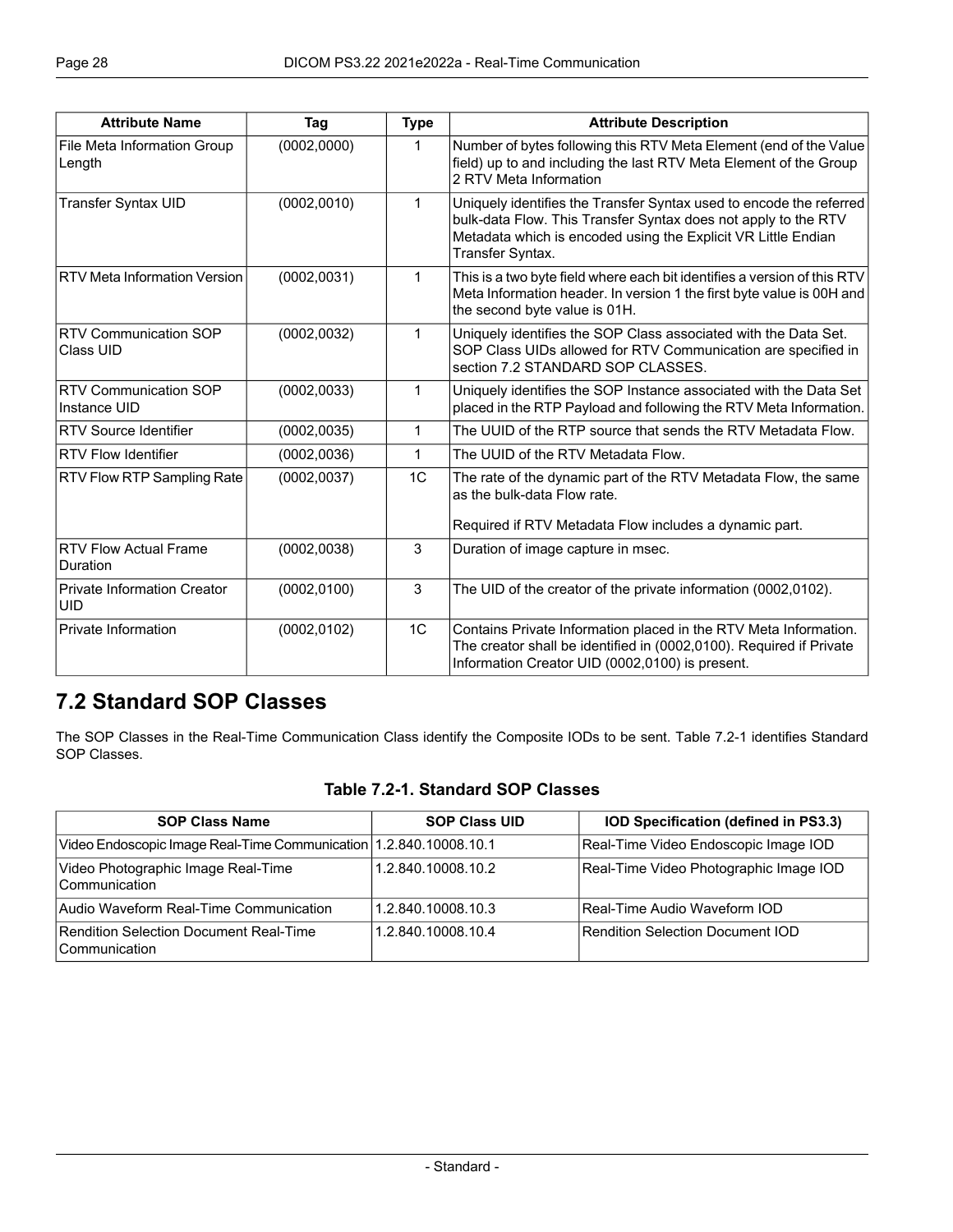| <b>Attribute Name</b>                            | Tag          | <b>Type</b>  | <b>Attribute Description</b>                                                                                                                                                                                               |  |
|--------------------------------------------------|--------------|--------------|----------------------------------------------------------------------------------------------------------------------------------------------------------------------------------------------------------------------------|--|
| File Meta Information Group<br>Length            | (0002, 0000) | 1            | Number of bytes following this RTV Meta Element (end of the Value<br>field) up to and including the last RTV Meta Element of the Group<br>2 RTV Meta Information                                                           |  |
| <b>Transfer Syntax UID</b>                       | (0002, 0010) | 1            | Uniquely identifies the Transfer Syntax used to encode the referred<br>bulk-data Flow. This Transfer Syntax does not apply to the RTV<br>Metadata which is encoded using the Explicit VR Little Endian<br>Transfer Syntax. |  |
| <b>RTV Meta Information Version</b>              | (0002, 0031) | $\mathbf{1}$ | This is a two byte field where each bit identifies a version of this RTV<br>Meta Information header. In version 1 the first byte value is 00H and<br>the second byte value is 01H.                                         |  |
| <b>RTV Communication SOP</b><br>Class UID        | (0002, 0032) | 1            | Uniquely identifies the SOP Class associated with the Data Set.<br>SOP Class UIDs allowed for RTV Communication are specified in<br>section 7.2 STANDARD SOP CLASSES.                                                      |  |
| <b>RTV Communication SOP</b><br>Instance UID     | (0002, 0033) | 1            | Uniquely identifies the SOP Instance associated with the Data Set<br>placed in the RTP Payload and following the RTV Meta Information.                                                                                     |  |
| <b>RTV Source Identifier</b>                     | (0002, 0035) | 1            | The UUID of the RTP source that sends the RTV Metadata Flow.                                                                                                                                                               |  |
| <b>RTV Flow Identifier</b>                       | (0002, 0036) | $\mathbf{1}$ | The UUID of the RTV Metadata Flow.                                                                                                                                                                                         |  |
| RTV Flow RTP Sampling Rate                       | (0002, 0037) | 1C           | The rate of the dynamic part of the RTV Metadata Flow, the same<br>as the bulk-data Flow rate.<br>Required if RTV Metadata Flow includes a dynamic part.                                                                   |  |
| <b>RTV Flow Actual Frame</b><br>Duration         | (0002, 0038) | 3            | Duration of image capture in msec.                                                                                                                                                                                         |  |
| <b>Private Information Creator</b><br><b>UID</b> | (0002, 0100) | $\mathbf{3}$ | The UID of the creator of the private information (0002,0102).                                                                                                                                                             |  |
| Private Information                              | (0002, 0102) | 1C           | Contains Private Information placed in the RTV Meta Information.<br>The creator shall be identified in (0002,0100). Required if Private<br>Information Creator UID (0002,0100) is present.                                 |  |

#### <span id="page-27-1"></span><span id="page-27-0"></span>**7.2 Standard SOP Classes**

The SOP Classes in the Real-Time Communication Class identify the Composite IODs to be sent. [Table](#page-27-1) 7.2-1 identifies Standard SOP Classes.

#### **Table 7.2-1. Standard SOP Classes**

| <b>SOP Class Name</b>                                               | <b>SOP Class UID</b> | IOD Specification (defined in PS3.3)   |
|---------------------------------------------------------------------|----------------------|----------------------------------------|
| Video Endoscopic Image Real-Time Communication   1.2.840.10008.10.1 |                      | Real-Time Video Endoscopic Image IOD   |
| Video Photographic Image Real-Time<br>Communication                 | 1.2.840.10008.10.2   | Real-Time Video Photographic Image IOD |
| Audio Waveform Real-Time Communication                              | 1.2.840.10008.10.3   | Real-Time Audio Waveform IOD           |
| Rendition Selection Document Real-Time<br>l Communication           | 1.2.840.10008.10.4   | Rendition Selection Document IOD       |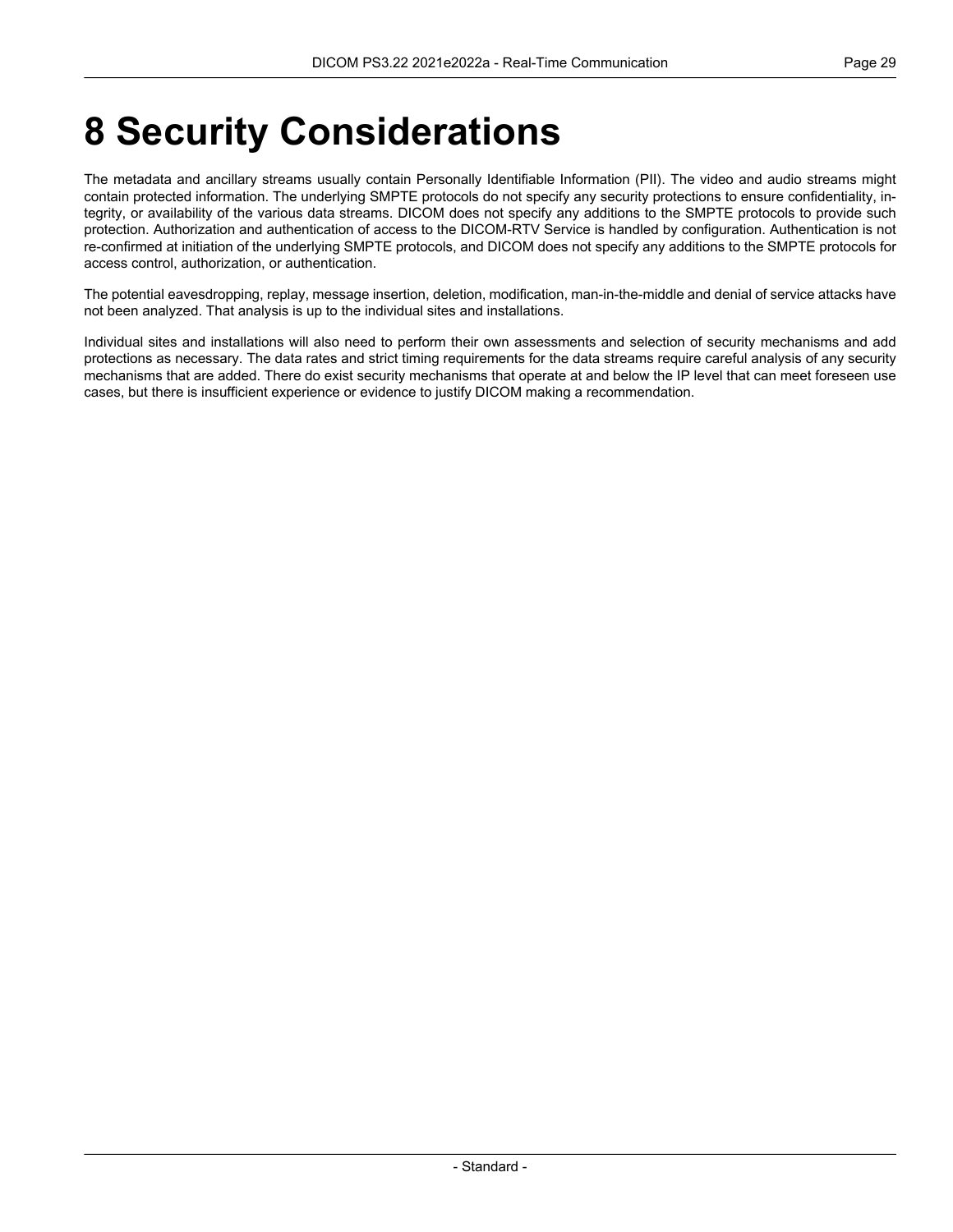## <span id="page-28-0"></span>**8 Security Considerations**

The metadata and ancillary streams usually contain Personally Identifiable Information (PII). The video and audio streams might contain protected information. The underlying SMPTE protocols do not specify any security protections to ensure confidentiality, in tegrity, or availability of the various data streams. DICOM does not specify any additions to the SMPTE protocols to provide such protection. Authorization and authentication of access to the DICOM-RTV Service is handled by configuration. Authentication is not re-confirmed at initiation of the underlying SMPTE protocols, and DICOM does not specify any additions to the SMPTE protocols for access control, authorization, or authentication.

The potential eavesdropping, replay, message insertion, deletion, modification, man-in-the-middle and denial of service attacks have not been analyzed. That analysis is up to the individual sites and installations.

Individual sites and installations will also need to perform their own assessments and selection of security mechanisms and add protections as necessary. The data rates and strict timing requirements for the data streams require careful analysis of any security mechanisms that are added. There do exist security mechanisms that operate at and below the IP level that can meet foreseen use cases, but there is insufficient experience or evidence to justify DICOM making a recommendation.